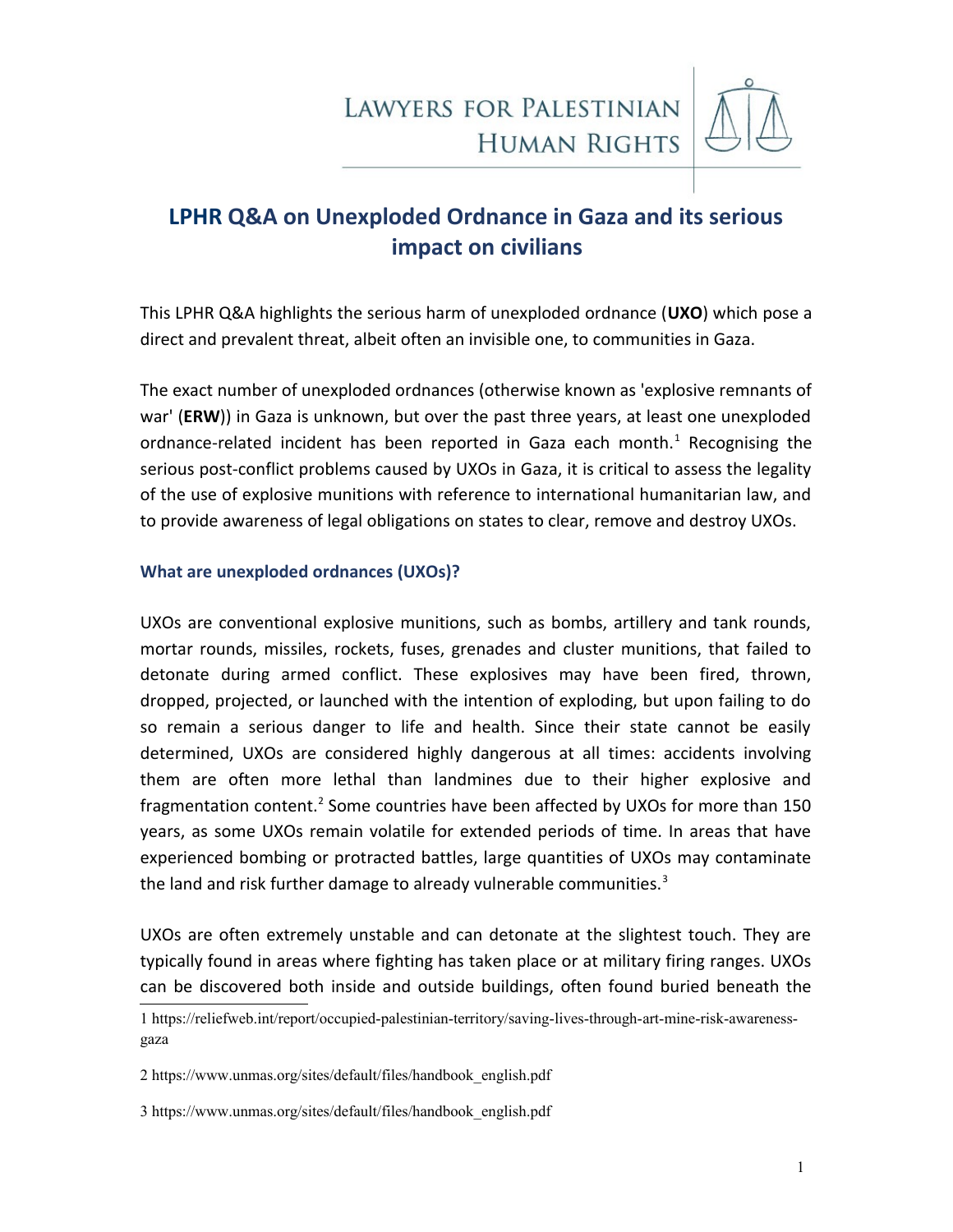

## **LPHR Q&A on Unexploded Ordnance in Gaza and its serious impact on civilians**

This LPHR Q&A highlights the serious harm of unexploded ordnance (**UXO**) which pose a direct and prevalent threat, albeit often an invisible one, to communities in Gaza.

The exact number of unexploded ordnances (otherwise known as 'explosive remnants of war' (**ERW**)) in Gaza is unknown, but over the past three years, at least one unexploded ordnance-related incident has been reported in Gaza each month.<sup>[1](#page-0-0)</sup> Recognising the serious post-conflict problems caused by UXOs in Gaza, it is critical to assess the legality of the use of explosive munitions with reference to international humanitarian law, and to provide awareness of legal obligations on states to clear, remove and destroy UXOs.

### **What are unexploded ordnances (UXOs)?**

UXOs are conventional explosive munitions, such as bombs, artillery and tank rounds, mortar rounds, missiles, rockets, fuses, grenades and cluster munitions, that failed to detonate during armed conflict. These explosives may have been fired, thrown, dropped, projected, or launched with the intention of exploding, but upon failing to do so remain a serious danger to life and health. Since their state cannot be easily determined, UXOs are considered highly dangerous at all times: accidents involving them are often more lethal than landmines due to their higher explosive and fragmentation content.<sup>[2](#page-0-1)</sup> Some countries have been affected by UXOs for more than 150 years, as some UXOs remain volatile for extended periods of time. In areas that have experienced bombing or protracted battles, large quantities of UXOs may contaminate the land and risk further damage to already vulnerable communities. $3$ 

UXOs are often extremely unstable and can detonate at the slightest touch. They are typically found in areas where fighting has taken place or at military firing ranges. UXOs can be discovered both inside and outside buildings, often found buried beneath the

<span id="page-0-1"></span>2 [https://www.unmas.org/sites/default/files/handbook\\_english.pdf](https://www.unmas.org/sites/default/files/handbook_english.pdf)

<span id="page-0-2"></span>3 [https://www.unmas.org/sites/default/files/handbook\\_english.pdf](https://www.unmas.org/sites/default/files/handbook_english.pdf)

<span id="page-0-0"></span><sup>1</sup> [https://reliefweb.int/report/occupied-palestinian-territory/saving-lives-through-art-mine-risk-awareness](https://reliefweb.int/report/occupied-palestinian-territory/saving-lives-through-art-mine-risk-awareness-gaza)[gaza](https://reliefweb.int/report/occupied-palestinian-territory/saving-lives-through-art-mine-risk-awareness-gaza)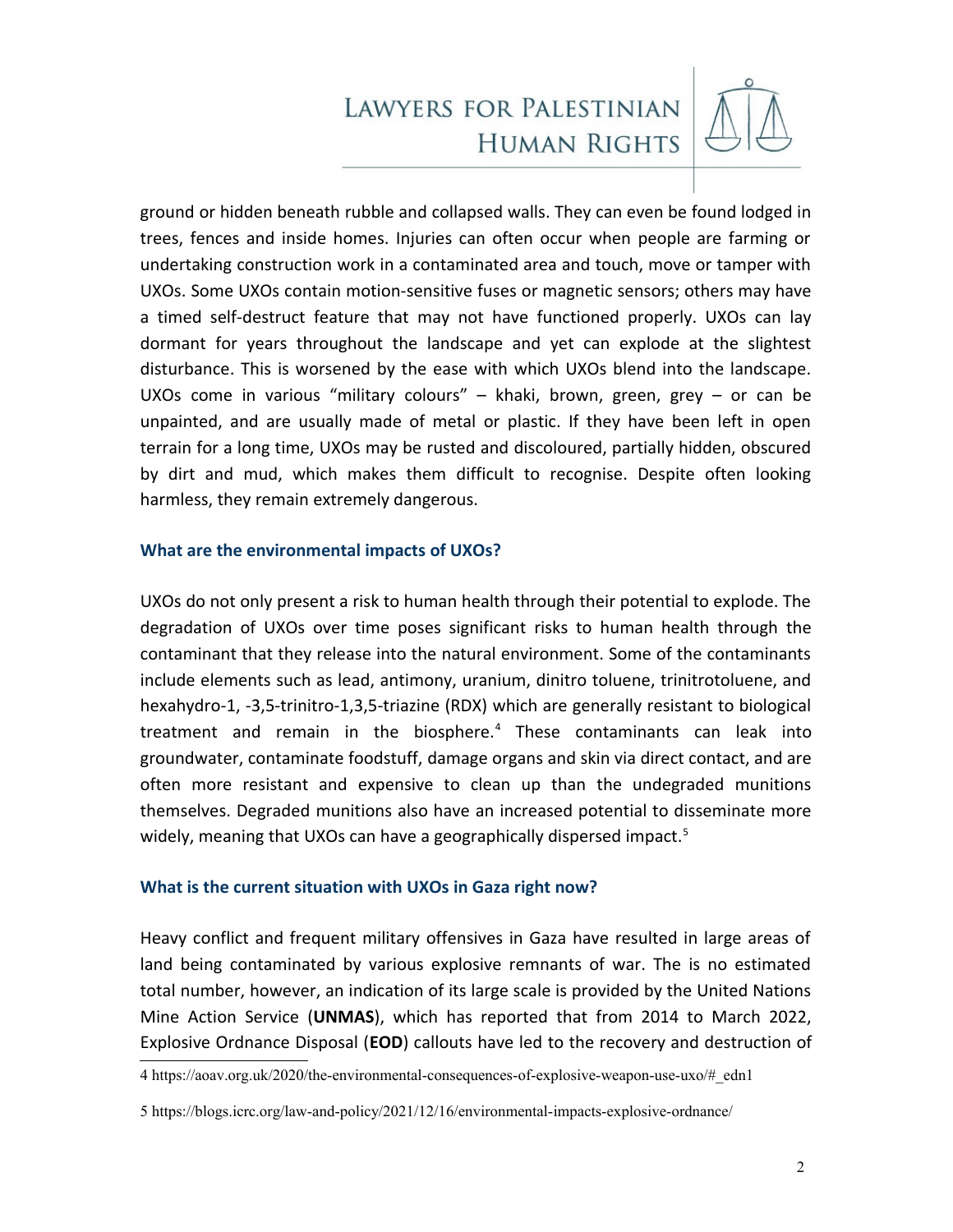

ground or hidden beneath rubble and collapsed walls. They can even be found lodged in trees, fences and inside homes. Injuries can often occur when people are farming or undertaking construction work in a contaminated area and touch, move or tamper with UXOs. Some UXOs contain motion-sensitive fuses or magnetic sensors; others may have a timed self-destruct feature that may not have functioned properly. UXOs can lay dormant for years throughout the landscape and yet can explode at the slightest disturbance. This is worsened by the ease with which UXOs blend into the landscape. UXOs come in various "military colours" – khaki, brown, green, grey – or can be unpainted, and are usually made of metal or plastic. If they have been left in open terrain for a long time, UXOs may be rusted and discoloured, partially hidden, obscured by dirt and mud, which makes them difficult to recognise. Despite often looking harmless, they remain extremely dangerous.

### **What are the environmental impacts of UXOs?**

UXOs do not only present a risk to human health through their potential to explode. The degradation of UXOs over time poses significant risks to human health through the contaminant that they release into the natural environment. Some of the contaminants include elements such as lead, antimony, uranium, dinitro toluene, trinitrotoluene, and hexahydro-1, -3,5-trinitro-1,3,5-triazine (RDX) which are generally resistant to biological treatment and remain in the biosphere.<sup>[4](#page-1-0)</sup> These contaminants can leak into groundwater, contaminate foodstuff, damage organs and skin via direct contact, and are often more resistant and expensive to clean up than the undegraded munitions themselves. Degraded munitions also have an increased potential to disseminate more widely, meaning that UXOs can have a geographically dispersed impact.<sup>[5](#page-1-1)</sup>

#### **What is the current situation with UXOs in Gaza right now?**

Heavy conflict and frequent military offensives in Gaza have resulted in large areas of land being contaminated by various explosive remnants of war. The is no estimated total number, however, an indication of its large scale is provided by the United Nations Mine Action Service (**UNMAS**), which has reported that from 2014 to March 2022, Explosive Ordnance Disposal (**EOD**) callouts have led to the recovery and destruction of

<span id="page-1-0"></span><sup>4</sup> [https://aoav.org.uk/2020/the-environmental-consequences-of-explosive-weapon-use-uxo/#\\_edn1](https://aoav.org.uk/2020/the-environmental-consequences-of-explosive-weapon-use-uxo/#_edn1)

<span id="page-1-1"></span><sup>5</sup> <https://blogs.icrc.org/law-and-policy/2021/12/16/environmental-impacts-explosive-ordnance/>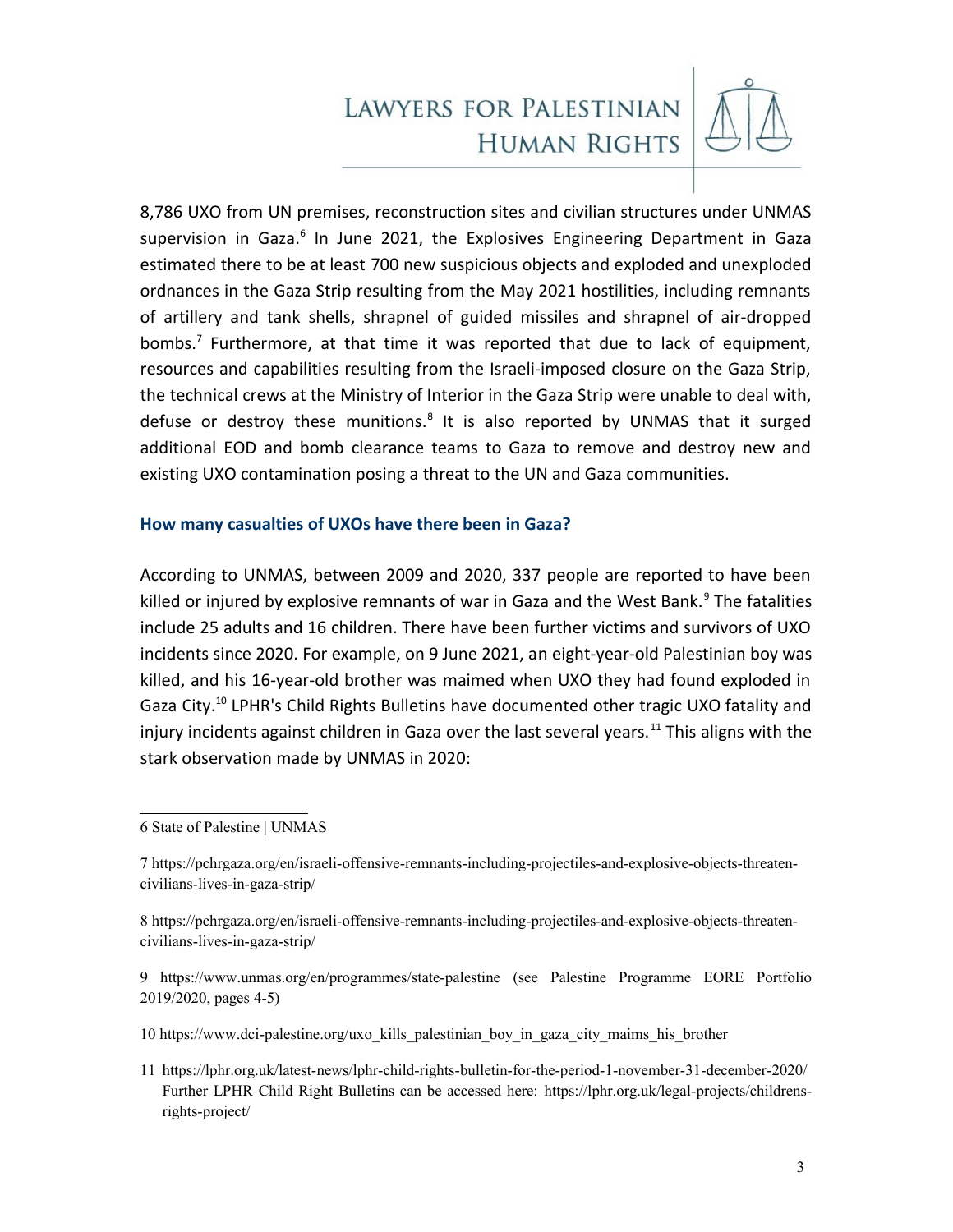

8,786 UXO from UN premises, reconstruction sites and civilian structures under UNMAS supervision in Gaza.<sup>[6](#page-2-0)</sup> In June 2021, the Explosives Engineering Department in Gaza estimated there to be at least 700 new suspicious objects and exploded and unexploded ordnances in the Gaza Strip resulting from the May 2021 hostilities, including remnants of artillery and tank shells, shrapnel of guided missiles and shrapnel of air-dropped bombs.<sup>[7](#page-2-1)</sup> Furthermore, at that time it was reported that due to lack of equipment, resources and capabilities resulting from the Israeli-imposed closure on the Gaza Strip, the technical crews at the Ministry of Interior in the Gaza Strip were unable to deal with, defuse or destroy these munitions.<sup>[8](#page-2-2)</sup> It is also reported by UNMAS that it surged additional EOD and bomb clearance teams to Gaza to remove and destroy new and existing UXO contamination posing a threat to the UN and Gaza communities.

### **How many casualties of UXOs have there been in Gaza?**

According to UNMAS, between 2009 and 2020, 337 people are reported to have been killed or injured by explosive remnants of war in Gaza and the West Bank.<sup>[9](#page-2-3)</sup> The fatalities include 25 adults and 16 children. There have been further victims and survivors of UXO incidents since 2020. For example, on 9 June 2021, an eight-year-old Palestinian boy was killed, and his 16-year-old brother was maimed when UXO they had found exploded in Gaza City.<sup>[10](#page-2-4)</sup> LPHR's Child Rights Bulletins have documented other tragic UXO fatality and injury incidents against children in Gaza over the last several years.<sup>[11](#page-2-5)</sup> This aligns with the stark observation made by UNMAS in 2020:

<span id="page-2-0"></span>6 [State of Palestine | UNMAS](https://www.unmas.org/en/programmes/state-palestine)

<span id="page-2-1"></span>7 [https://pchrgaza.org/en/israeli-offensive-remnants-including-projectiles-and-explosive-objects-threaten](https://pchrgaza.org/en/israeli-offensive-remnants-including-projectiles-and-explosive-objects-threaten-civilians-lives-in-gaza-strip/)[civilians-lives-in-gaza-strip/](https://pchrgaza.org/en/israeli-offensive-remnants-including-projectiles-and-explosive-objects-threaten-civilians-lives-in-gaza-strip/)

<span id="page-2-2"></span>8 [https://pchrgaza.org/en/israeli-offensive-remnants-including-projectiles-and-explosive-objects-threaten](https://pchrgaza.org/en/israeli-offensive-remnants-including-projectiles-and-explosive-objects-threaten-civilians-lives-in-gaza-strip/)[civilians-lives-in-gaza-strip/](https://pchrgaza.org/en/israeli-offensive-remnants-including-projectiles-and-explosive-objects-threaten-civilians-lives-in-gaza-strip/) 

<span id="page-2-3"></span>9 <https://www.unmas.org/en/programmes/state-palestine>(see Palestine Programme EORE Portfolio 2019/2020, pages 4-5)

<span id="page-2-4"></span>10 [https://www.dci-palestine.org/uxo\\_kills\\_palestinian\\_boy\\_in\\_gaza\\_city\\_maims\\_his\\_brother](https://www.dci-palestine.org/uxo_kills_palestinian_boy_in_gaza_city_maims_his_brother)

<span id="page-2-5"></span>11 <https://lphr.org.uk/latest-news/lphr-child-rights-bulletin-for-the-period-1-november-31-december-2020/> Further LPHR Child Right Bulletins can be accessed here: [https://lphr.org.uk/legal-projects/childrens](https://lphr.org.uk/legal-projects/childrens-rights-project/)[rights-project/](https://lphr.org.uk/legal-projects/childrens-rights-project/)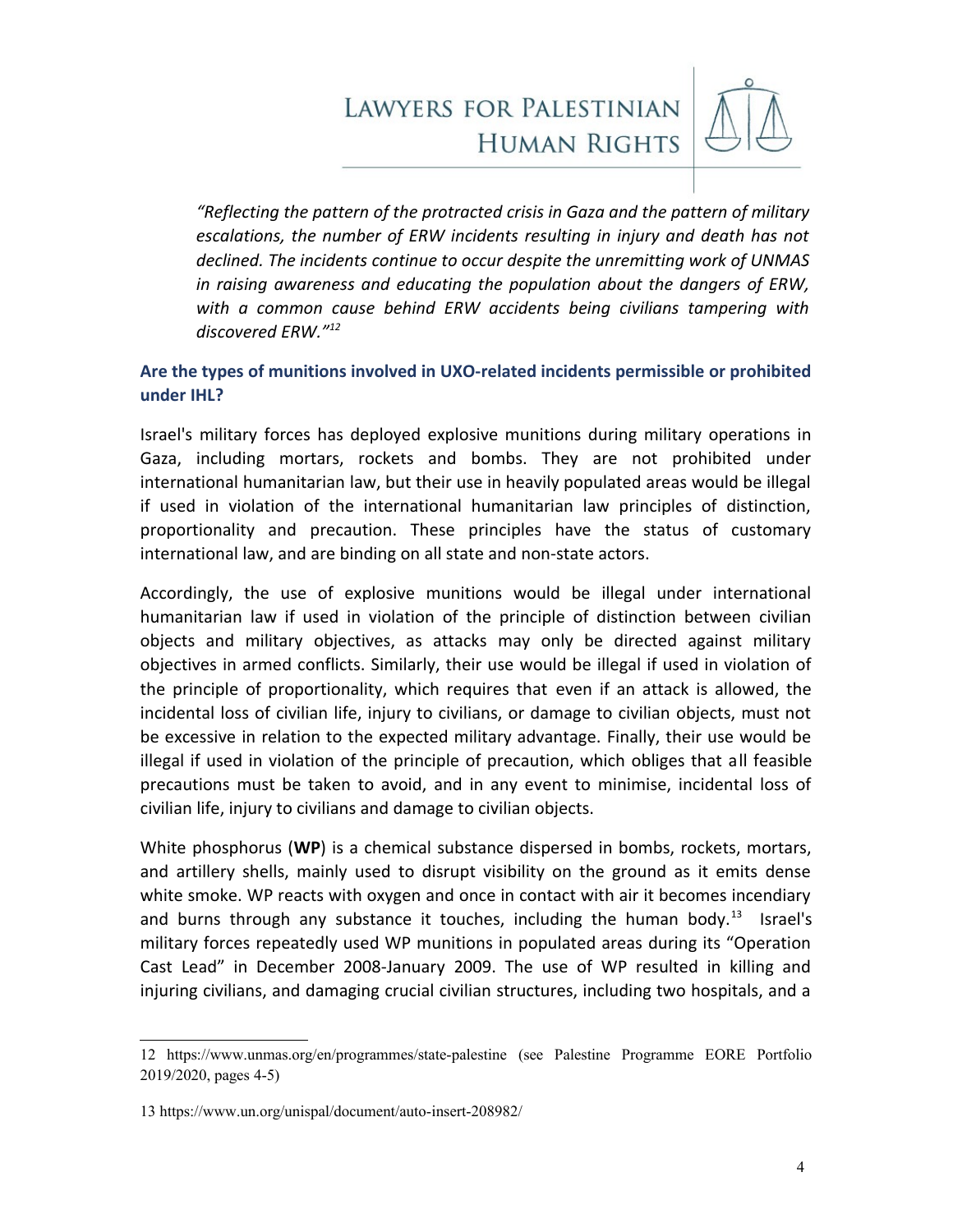

*"Reflecting the pattern of the protracted crisis in Gaza and the pattern of military escalations, the number of ERW incidents resulting in injury and death has not declined. The incidents continue to occur despite the unremitting work of UNMAS in raising awareness and educating the population about the dangers of ERW, with a common cause behind ERW accidents being civilians tampering with discovered ERW."[12](#page-3-0)*

## **Are the types of munitions involved in UXO-related incidents permissible or prohibited under IHL?**

Israel's military forces has deployed explosive munitions during military operations in Gaza, including mortars, rockets and bombs. They are not prohibited under international humanitarian law, but their use in heavily populated areas would be illegal if used in violation of the international humanitarian law principles of distinction, proportionality and precaution. These principles have the status of customary international law, and are binding on all state and non-state actors.

Accordingly, the use of explosive munitions would be illegal under international humanitarian law if used in violation of the principle of distinction between civilian objects and military objectives, as attacks may only be directed against military objectives in armed conflicts. Similarly, their use would be illegal if used in violation of the principle of proportionality, which requires that even if an attack is allowed, the incidental loss of civilian life, injury to civilians, or damage to civilian objects, must not be excessive in relation to the expected military advantage. Finally, their use would be illegal if used in violation of the principle of precaution, which obliges that all feasible precautions must be taken to avoid, and in any event to minimise, incidental loss of civilian life, injury to civilians and damage to civilian objects.

White phosphorus (**WP**) is a chemical substance dispersed in bombs, rockets, mortars, and artillery shells, mainly used to disrupt visibility on the ground as it emits dense white smoke. WP reacts with oxygen and once in contact with air it becomes incendiary and burns through any substance it touches, including the human body.<sup>[13](#page-3-1)</sup> Israel's military forces repeatedly used WP munitions in populated areas during its "Operation Cast Lead" in December 2008-January 2009. The use of WP resulted in killing and injuring civilians, and damaging crucial civilian structures, including two hospitals, and a

<span id="page-3-0"></span><sup>12</sup> <https://www.unmas.org/en/programmes/state-palestine>(see Palestine Programme EORE Portfolio 2019/2020, pages 4-5)

<span id="page-3-1"></span><sup>13</sup> <https://www.un.org/unispal/document/auto-insert-208982/>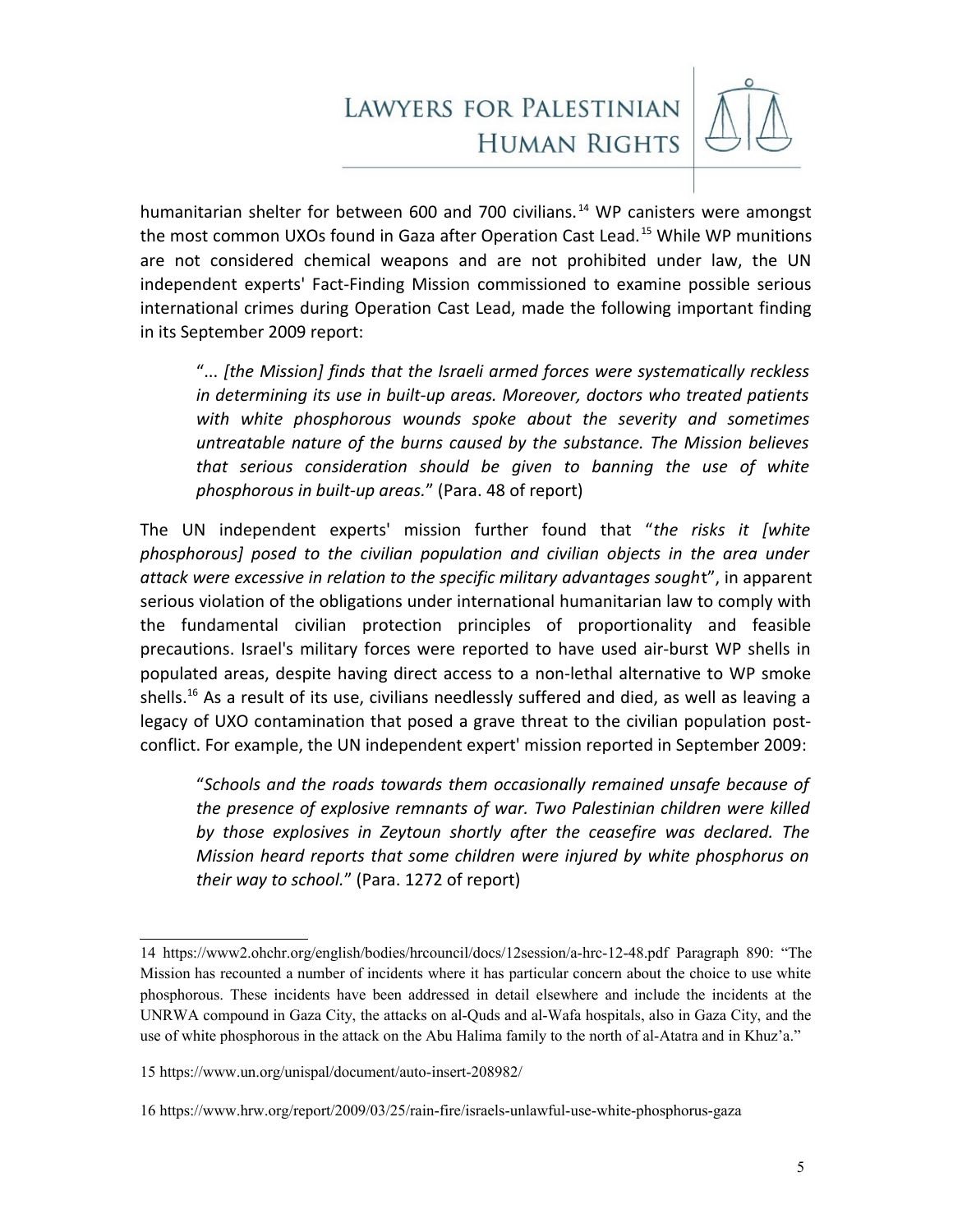

humanitarian shelter for between 600 and 700 civilians.<sup>[14](#page-4-0)</sup> WP canisters were amongst the most common UXOs found in Gaza after Operation Cast Lead.<sup>[15](#page-4-1)</sup> While WP munitions are not considered chemical weapons and are not prohibited under law, the UN independent experts' Fact-Finding Mission commissioned to examine possible serious international crimes during Operation Cast Lead, made the following important finding in its September 2009 report:

"... *[the Mission] finds that the Israeli armed forces were systematically reckless in determining its use in built-up areas. Moreover, doctors who treated patients with white phosphorous wounds spoke about the severity and sometimes untreatable nature of the burns caused by the substance. The Mission believes that serious consideration should be given to banning the use of white phosphorous in built-up areas.*" (Para. 48 of report)

The UN independent experts' mission further found that "*the risks it [white phosphorous] posed to the civilian population and civilian objects in the area under attack were excessive in relation to the specific military advantages sough*t", in apparent serious violation of the obligations under international humanitarian law to comply with the fundamental civilian protection principles of proportionality and feasible precautions. Israel's military forces were reported to have used air-burst WP shells in populated areas, despite having direct access to a non-lethal alternative to WP smoke shells.<sup>[16](#page-4-2)</sup> As a result of its use, civilians needlessly suffered and died, as well as leaving a legacy of UXO contamination that posed a grave threat to the civilian population postconflict. For example, the UN independent expert' mission reported in September 2009:

"*Schools and the roads towards them occasionally remained unsafe because of the presence of explosive remnants of war. Two Palestinian children were killed by those explosives in Zeytoun shortly after the ceasefire was declared. The Mission heard reports that some children were injured by white phosphorus on their way to school.*" (Para. 1272 of report)

<span id="page-4-0"></span><sup>14</sup> <https://www2.ohchr.org/english/bodies/hrcouncil/docs/12session/a-hrc-12-48.pdf>Paragraph 890: "The Mission has recounted a number of incidents where it has particular concern about the choice to use white phosphorous. These incidents have been addressed in detail elsewhere and include the incidents at the UNRWA compound in Gaza City, the attacks on al-Quds and al-Wafa hospitals, also in Gaza City, and the use of white phosphorous in the attack on the Abu Halima family to the north of al-Atatra and in Khuz'a."

<span id="page-4-1"></span><sup>15</sup> <https://www.un.org/unispal/document/auto-insert-208982/>

<span id="page-4-2"></span><sup>16</sup> <https://www.hrw.org/report/2009/03/25/rain-fire/israels-unlawful-use-white-phosphorus-gaza>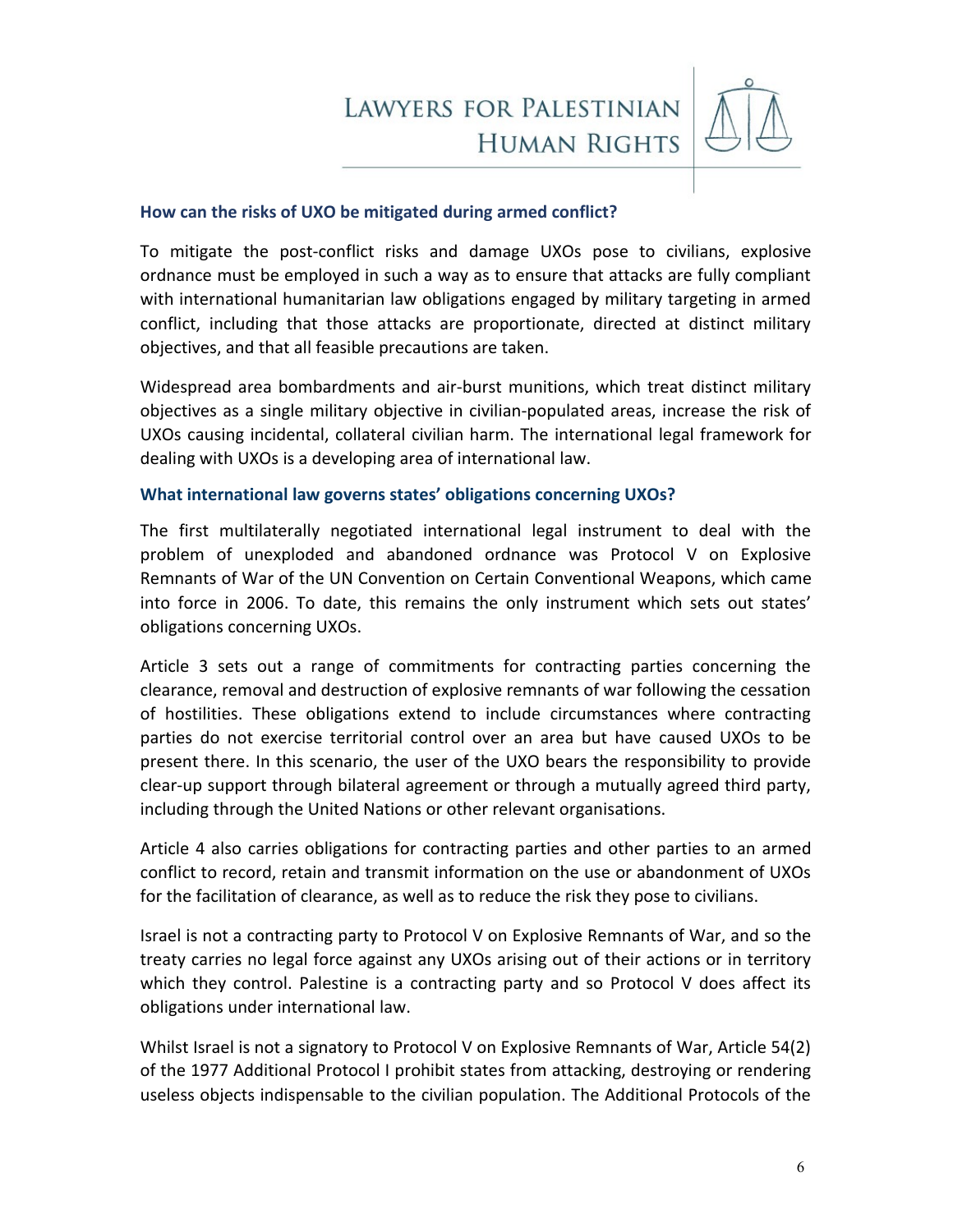

### **How can the risks of UXO be mitigated during armed conflict?**

To mitigate the post-conflict risks and damage UXOs pose to civilians, explosive ordnance must be employed in such a way as to ensure that attacks are fully compliant with international humanitarian law obligations engaged by military targeting in armed conflict, including that those attacks are proportionate, directed at distinct military objectives, and that all feasible precautions are taken.

Widespread area bombardments and air-burst munitions, which treat distinct military objectives as a single military objective in civilian-populated areas, increase the risk of UXOs causing incidental, collateral civilian harm. The international legal framework for dealing with UXOs is a developing area of international law.

### **What international law governs states' obligations concerning UXOs?**

The first multilaterally negotiated international legal instrument to deal with the problem of unexploded and abandoned ordnance was Protocol V on Explosive Remnants of War of the UN Convention on Certain Conventional Weapons, which came into force in 2006. To date, this remains the only instrument which sets out states' obligations concerning UXOs.

Article 3 sets out a range of commitments for contracting parties concerning the clearance, removal and destruction of explosive remnants of war following the cessation of hostilities. These obligations extend to include circumstances where contracting parties do not exercise territorial control over an area but have caused UXOs to be present there. In this scenario, the user of the UXO bears the responsibility to provide clear-up support through bilateral agreement or through a mutually agreed third party, including through the United Nations or other relevant organisations.

Article 4 also carries obligations for contracting parties and other parties to an armed conflict to record, retain and transmit information on the use or abandonment of UXOs for the facilitation of clearance, as well as to reduce the risk they pose to civilians.

Israel is not a contracting party to Protocol V on Explosive Remnants of War, and so the treaty carries no legal force against any UXOs arising out of their actions or in territory which they control. Palestine is a contracting party and so Protocol V does affect its obligations under international law.

Whilst Israel is not a signatory to Protocol V on Explosive Remnants of War, Article 54(2) of the 1977 Additional Protocol I prohibit states from attacking, destroying or rendering useless objects indispensable to the civilian population. The Additional Protocols of the